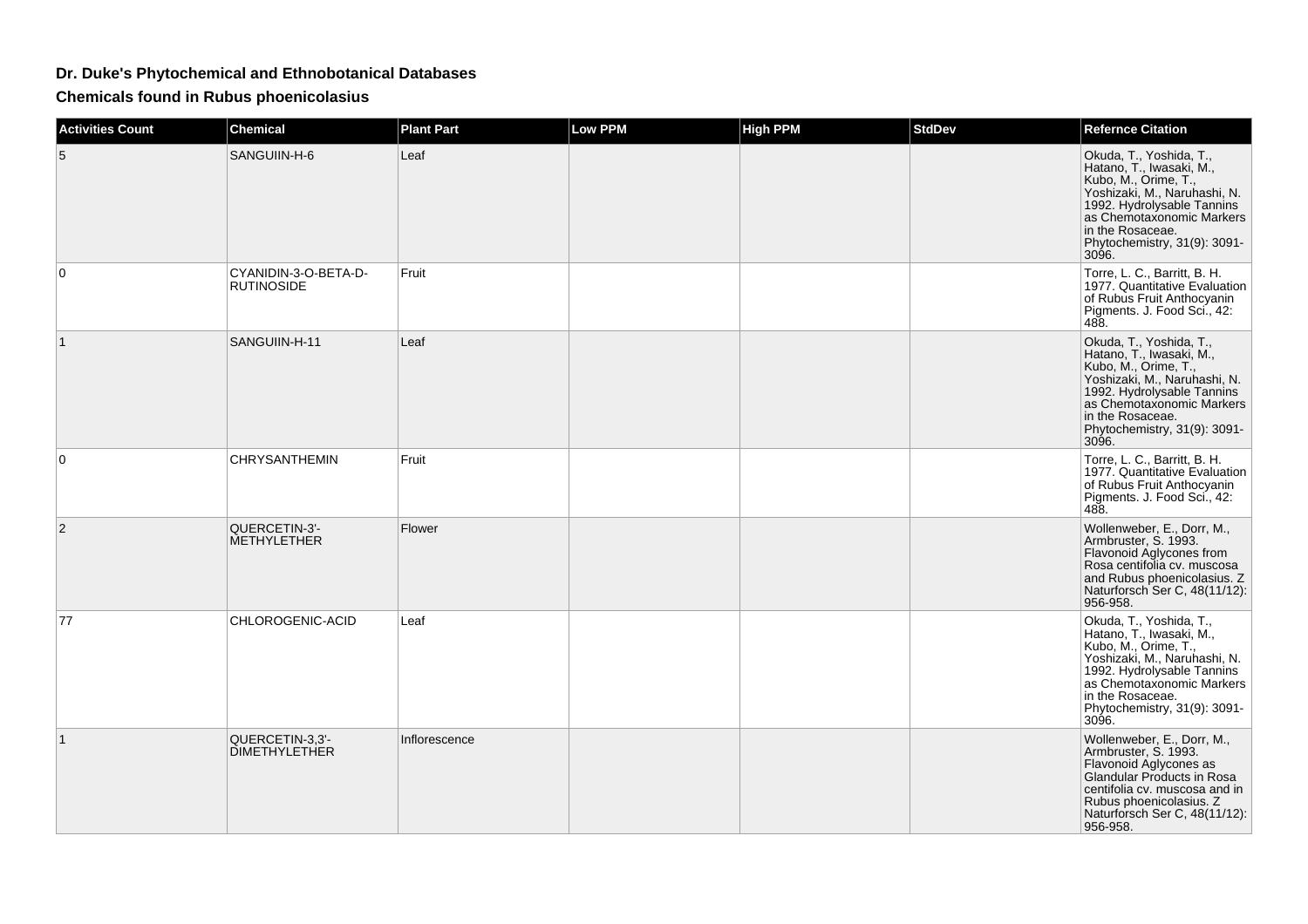## **Dr. Duke's Phytochemical and Ethnobotanical Databases**

**Chemicals found in Rubus phoenicolasius**

| <b>Activities Count</b> | <b>Chemical</b>                           | <b>Plant Part</b> | <b>Low PPM</b> | <b>High PPM</b> | <b>StdDev</b> | <b>Refernce Citation</b>                                                                                                                                                                                                            |
|-------------------------|-------------------------------------------|-------------------|----------------|-----------------|---------------|-------------------------------------------------------------------------------------------------------------------------------------------------------------------------------------------------------------------------------------|
| 5                       | SANGUIIN-H-6                              | Leaf              |                |                 |               | Okuda, T., Yoshida, T.,<br>Hatano, T., Iwasaki, M.,<br>Kubo, M., Orime, T.,<br>Yoshizaki, M., Naruhashi, N.<br>1992. Hydrolysable Tannins<br>as Chemotaxonomic Markers<br>in the Rosaceae.<br>Phytochemistry, 31(9): 3091-<br>3096. |
| 0                       | CYANIDIN-3-O-BETA-D-<br><b>RUTINOSIDE</b> | Fruit             |                |                 |               | Torre, L. C., Barritt, B. H.<br>1977. Quantitative Evaluation<br>of Rubus Fruit Anthocyanin<br>Pigments. J. Food Sci., 42:<br>488.                                                                                                  |
|                         | SANGUIIN-H-11                             | Leaf              |                |                 |               | Okuda, T., Yoshida, T.,<br>Hatano, T., Iwasaki, M.,<br>Kubo, M., Orime, T.,<br>Yoshizaki, M., Naruhashi, N.<br>1992. Hydrolysable Tannins<br>as Chemotaxonomic Markers<br>in the Rosaceae.<br>Phytochemistry, 31(9): 3091-<br>3096. |
| 0                       | CHRYSANTHEMIN                             | Fruit             |                |                 |               | Torre, L. C., Barritt, B. H.<br>1977. Quantitative Evaluation<br>of Rubus Fruit Anthocyanin<br>Pigments. J. Food Sci., 42:<br>488.                                                                                                  |
| $\overline{2}$          | QUERCETIN-3'-<br>METHYLETHER              | Flower            |                |                 |               | Wollenweber, E., Dorr, M.,<br>Armbruster, S. 1993.<br>Flavonoid Aglycones from<br>Rosa centifolia cv. muscosa<br>and Rubus phoenicolasius. Z<br>Naturforsch Ser C, 48(11/12):<br>956-958.                                           |
| 77                      | CHLOROGENIC-ACID                          | Leaf              |                |                 |               | Okuda, T., Yoshida, T.,<br>Hatano, T., Iwasaki, M.,<br>Kubo, M., Orime, T.,<br>Yoshizaki, M., Naruhashi, N.<br>1992. Hydrolysable Tannins<br>as Chemotaxonomic Markers<br>in the Rosaceae.<br>Phytochemistry, 31(9): 3091-<br>3096. |
|                         | QUERCETIN-3,3'-<br><b>DIMETHYLETHER</b>   | Inflorescence     |                |                 |               | Wollenweber, E., Dorr, M.,<br>Armbruster, S. 1993.<br>Flavonoid Aglycones as<br>Glandular Products in Rosa<br>centifolia cv. muscosa and in<br>Rubus phoenicolasius. Z<br>Naturforsch Ser C, 48(11/12):<br>956-958.                 |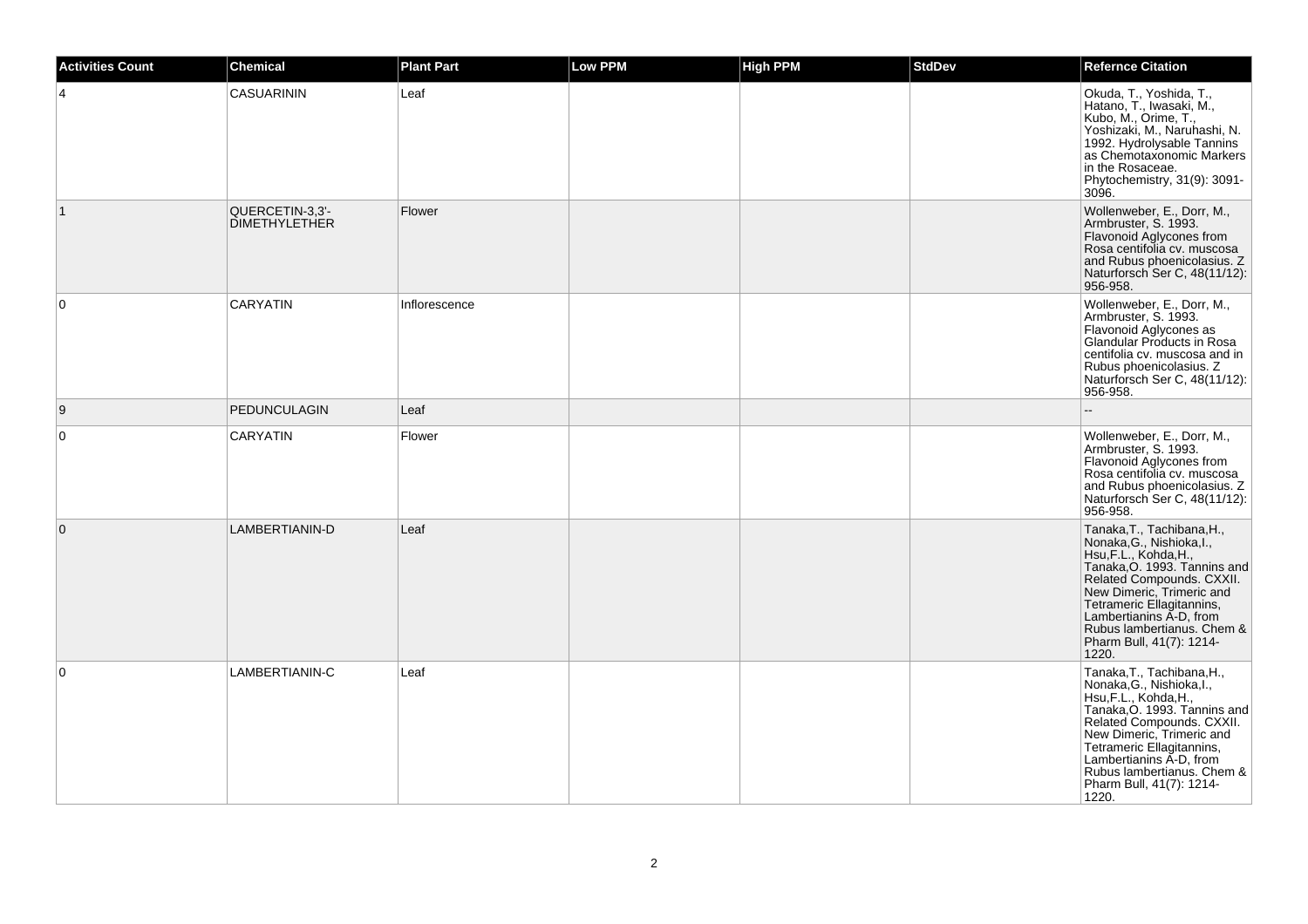| <b>Activities Count</b> | <b>Chemical</b>                         | <b>Plant Part</b> | Low PPM | <b>High PPM</b> | <b>StdDev</b> | <b>Refernce Citation</b>                                                                                                                                                                                                                                                                              |
|-------------------------|-----------------------------------------|-------------------|---------|-----------------|---------------|-------------------------------------------------------------------------------------------------------------------------------------------------------------------------------------------------------------------------------------------------------------------------------------------------------|
|                         | <b>CASUARININ</b>                       | Leaf              |         |                 |               | Okuda, T., Yoshida, T.,<br>Hatano, T., Iwasaki, M.,<br>Kubo, M., Orime, T.,<br>Yoshizaki, M., Naruhashi, N.<br>1992. Hydrolysable Tannins<br>as Chemotaxonomic Markers<br>in the Rosaceae.<br>Phytochemistry, 31(9): 3091-<br>3096.                                                                   |
| $\mathbf{1}$            | QUERCETIN-3,3'-<br><b>DIMETHYLETHER</b> | Flower            |         |                 |               | Wollenweber, E., Dorr, M.,<br>Armbruster, S. 1993.<br>Flavonoid Aglycones from<br>Rosa centifolia cv. muscosa<br>and Rubus phoenicolasius. Z<br>Naturforsch Ser C, 48(11/12):<br>956-958.                                                                                                             |
| 0                       | <b>CARYATIN</b>                         | Inflorescence     |         |                 |               | Wollenweber, E., Dorr, M.,<br>Armbruster, S. 1993.<br>Flavonoid Aglycones as<br>Glandular Products in Rosa<br>centifolia cv. muscosa and in<br>Rubus phoenicolasius. Z<br>Naturforsch Ser C, 48(11/12):<br>956-958.                                                                                   |
| 9                       | <b>PEDUNCULAGIN</b>                     | Leaf              |         |                 |               |                                                                                                                                                                                                                                                                                                       |
| 0                       | <b>CARYATIN</b>                         | Flower            |         |                 |               | Wollenweber, E., Dorr, M.,<br>Armbruster, S. 1993.<br>Flavonoid Aglycones from<br>Rosa centifolia cv. muscosa<br>and Rubus phoenicolasius. Z<br>Naturforsch Ser C, 48(11/12):<br>956-958.                                                                                                             |
| $\mathbf 0$             | LAMBERTIANIN-D                          | Leaf              |         |                 |               | Tanaka, T., Tachibana, H.,<br>Nonaka, G., Nishioka, I.,<br>Hsu, F.L., Kohda, H.,<br>Tanaka, O. 1993. Tannins and<br>Related Compounds. CXXII.<br>New Dimeric, Trimeric and<br>Tetrameric Ellagitannins,<br>Lambertianins A-D, from<br>Rubus lambertianus. Chem &<br>Pharm Bull, 41(7): 1214-<br>1220. |
| $\Omega$                | LAMBERTIANIN-C                          | Leaf              |         |                 |               | Tanaka, T., Tachibana, H.,<br>Nonaka, G., Nishioka, I.,<br>Hsu, F.L., Kohda, H.,<br>Tanaka, O. 1993. Tannins and<br>Related Compounds. CXXII.<br>New Dimeric, Trimeric and<br>Tetrameric Ellagitannins,<br>Lambertianins A-D, from<br>Rubus lambertianus. Chem &<br>Pharm Bull, 41(7): 1214-<br>1220. |